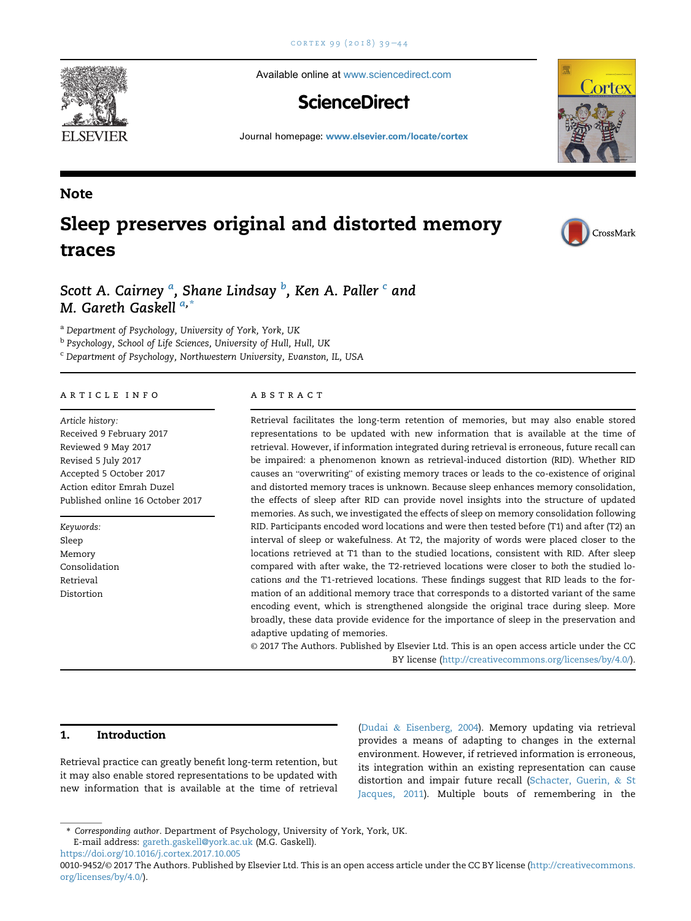Available online at [www.sciencedirect.com](www.sciencedirect.com/science/journal/00109452)

# **ScienceDirect**

Journal homepage: <www.elsevier.com/locate/cortex>

# Sleep preserves original and distorted memory traces



M. Gareth Gaskell  $a,$ <sup>\*</sup>

a Department of Psychology, University of York, York, UK

b Psychology, School of Life Sciences, University of Hull, Hull, UK

<sup>c</sup> Department of Psychology, Northwestern University, Evanston, IL, USA

#### article info

Article history: Received 9 February 2017 Reviewed 9 May 2017 Revised 5 July 2017 Accepted 5 October 2017 Action editor Emrah Duzel Published online 16 October 2017

Keywords: Sleep Memory Consolidation Retrieval Distortion

#### abstract

Retrieval facilitates the long-term retention of memories, but may also enable stored representations to be updated with new information that is available at the time of retrieval. However, if information integrated during retrieval is erroneous, future recall can be impaired: a phenomenon known as retrieval-induced distortion (RID). Whether RID causes an "overwriting" of existing memory traces or leads to the co-existence of original and distorted memory traces is unknown. Because sleep enhances memory consolidation, the effects of sleep after RID can provide novel insights into the structure of updated memories. As such, we investigated the effects of sleep on memory consolidation following RID. Participants encoded word locations and were then tested before (T1) and after (T2) an interval of sleep or wakefulness. At T2, the majority of words were placed closer to the locations retrieved at T1 than to the studied locations, consistent with RID. After sleep compared with after wake, the T2-retrieved locations were closer to both the studied locations and the T1-retrieved locations. These findings suggest that RID leads to the formation of an additional memory trace that corresponds to a distorted variant of the same encoding event, which is strengthened alongside the original trace during sleep. More broadly, these data provide evidence for the importance of sleep in the preservation and adaptive updating of memories.

© 2017 The Authors. Published by Elsevier Ltd. This is an open access article under the CC BY license [\(http://creativecommons.org/licenses/by/4.0/\)](http://creativecommons.org/licenses/by/4.0/).

# 1. Introduction

Retrieval practice can greatly benefit long-term retention, but it may also enable stored representations to be updated with new information that is available at the time of retrieval

[\(Dudai](#page-5-0) & [Eisenberg, 2004](#page-5-0)). Memory updating via retrieval provides a means of adapting to changes in the external environment. However, if retrieved information is erroneous, its integration within an existing representation can cause distortion and impair future recall ([Schacter, Guerin,](#page-5-0) & [St](#page-5-0) [Jacques, 2011](#page-5-0)). Multiple bouts of remembering in the

<https://doi.org/10.1016/j.cortex.2017.10.005>



**Note** 





<sup>\*</sup> Corresponding author. Department of Psychology, University of York, York, UK.

E-mail address: [gareth.gaskell@york.ac.uk](mailto:gareth.gaskell@york.ac.uk) (M.G. Gaskell).

<sup>0010-9452/</sup>© 2017 The Authors. Published by Elsevier Ltd. This is an open access article under the CC BY license [\(http://creativecommons.](http://creativecommons.org/licenses/by/4.0/) [org/licenses/by/4.0/](http://creativecommons.org/licenses/by/4.0/)).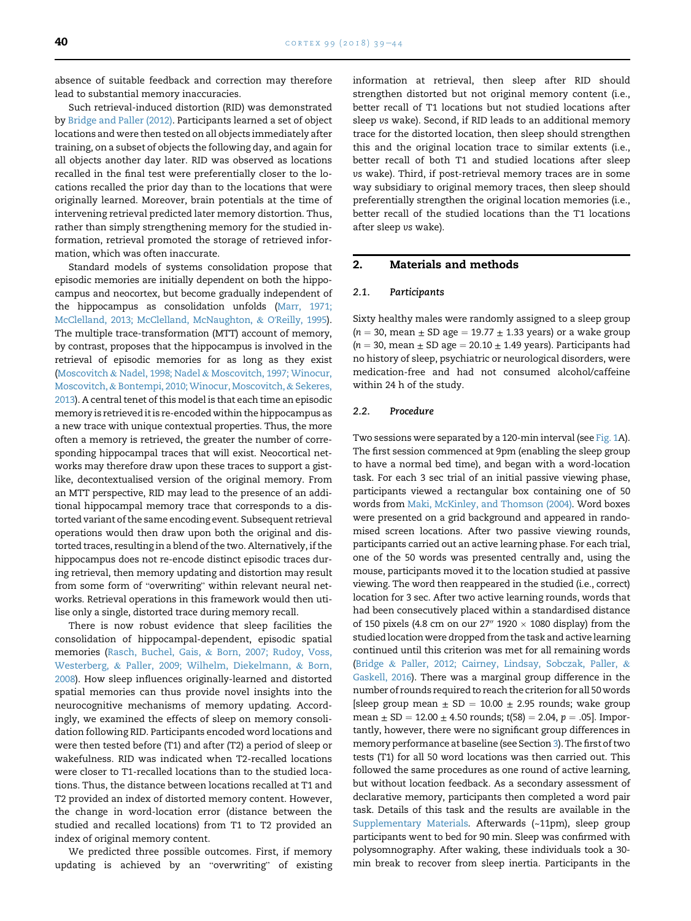absence of suitable feedback and correction may therefore lead to substantial memory inaccuracies.

Such retrieval-induced distortion (RID) was demonstrated by [Bridge and Paller \(2012\).](#page-5-0) Participants learned a set of object locations and were then tested on all objects immediately after training, on a subset of objects the following day, and again for all objects another day later. RID was observed as locations recalled in the final test were preferentially closer to the locations recalled the prior day than to the locations that were originally learned. Moreover, brain potentials at the time of intervening retrieval predicted later memory distortion. Thus, rather than simply strengthening memory for the studied information, retrieval promoted the storage of retrieved information, which was often inaccurate.

Standard models of systems consolidation propose that episodic memories are initially dependent on both the hippocampus and neocortex, but become gradually independent of the hippocampus as consolidation unfolds [\(Marr, 1971;](#page-5-0) [McClelland, 2013; McClelland, McNaughton,](#page-5-0) & O'[Reilly, 1995\)](#page-5-0). The multiple trace-transformation (MTT) account of memory, by contrast, proposes that the hippocampus is involved in the retrieval of episodic memories for as long as they exist ([Moscovitch](#page-5-0) & [Nadel, 1998; Nadel](#page-5-0) & [Moscovitch, 1997; Winocur,](#page-5-0) [Moscovitch,](#page-5-0) & Bontempi, 2010; Winocur, Moscovitch, & [Sekeres,](#page-5-0) [2013\)](#page-5-0). A central tenet of this model is that each time an episodic memory is retrieved it is re-encoded within the hippocampus as a new trace with unique contextual properties. Thus, the more often a memory is retrieved, the greater the number of corresponding hippocampal traces that will exist. Neocortical networks may therefore draw upon these traces to support a gistlike, decontextualised version of the original memory. From an MTT perspective, RID may lead to the presence of an additional hippocampal memory trace that corresponds to a distorted variant of the same encoding event. Subsequent retrieval operations would then draw upon both the original and distorted traces, resulting in a blend of the two. Alternatively, if the hippocampus does not re-encode distinct episodic traces during retrieval, then memory updating and distortion may result from some form of "overwriting" within relevant neural networks. Retrieval operations in this framework would then utilise only a single, distorted trace during memory recall.

There is now robust evidence that sleep facilities the consolidation of hippocampal-dependent, episodic spatial memories ([Rasch, Buchel, Gais,](#page-5-0) & [Born, 2007; Rudoy, Voss,](#page-5-0) [Westerberg,](#page-5-0) & [Paller, 2009; Wilhelm, Diekelmann,](#page-5-0) & [Born,](#page-5-0) [2008\)](#page-5-0). How sleep influences originally-learned and distorted spatial memories can thus provide novel insights into the neurocognitive mechanisms of memory updating. Accordingly, we examined the effects of sleep on memory consolidation following RID. Participants encoded word locations and were then tested before (T1) and after (T2) a period of sleep or wakefulness. RID was indicated when T2-recalled locations were closer to T1-recalled locations than to the studied locations. Thus, the distance between locations recalled at T1 and T2 provided an index of distorted memory content. However, the change in word-location error (distance between the studied and recalled locations) from T1 to T2 provided an index of original memory content.

We predicted three possible outcomes. First, if memory updating is achieved by an "overwriting" of existing information at retrieval, then sleep after RID should strengthen distorted but not original memory content (i.e., better recall of T1 locations but not studied locations after sleep vs wake). Second, if RID leads to an additional memory trace for the distorted location, then sleep should strengthen this and the original location trace to similar extents (i.e., better recall of both T1 and studied locations after sleep vs wake). Third, if post-retrieval memory traces are in some way subsidiary to original memory traces, then sleep should preferentially strengthen the original location memories (i.e., better recall of the studied locations than the T1 locations after sleep vs wake).

#### 2. Materials and methods

#### 2.1. Participants

Sixty healthy males were randomly assigned to a sleep group  $(n = 30,$  mean  $\pm$  SD age = 19.77  $\pm$  1.33 years) or a wake group ( $n = 30$ , mean  $\pm$  SD age = 20.10  $\pm$  1.49 years). Participants had no history of sleep, psychiatric or neurological disorders, were medication-free and had not consumed alcohol/caffeine within 24 h of the study.

#### 2.2. Procedure

Two sessions were separated by a 120-min interval (see [Fig. 1A](#page-2-0)). The first session commenced at 9pm (enabling the sleep group to have a normal bed time), and began with a word-location task. For each 3 sec trial of an initial passive viewing phase, participants viewed a rectangular box containing one of 50 words from [Maki, McKinley, and Thomson \(2004\)](#page-5-0). Word boxes were presented on a grid background and appeared in randomised screen locations. After two passive viewing rounds, participants carried out an active learning phase. For each trial, one of the 50 words was presented centrally and, using the mouse, participants moved it to the location studied at passive viewing. The word then reappeared in the studied (i.e., correct) location for 3 sec. After two active learning rounds, words that had been consecutively placed within a standardised distance of 150 pixels (4.8 cm on our 27" 1920  $\times$  1080 display) from the studied location were dropped from the task and active learning continued until this criterion was met for all remaining words ([Bridge](#page-5-0) & [Paller, 2012; Cairney, Lindsay, Sobczak, Paller,](#page-5-0) & [Gaskell, 2016\)](#page-5-0). There was a marginal group difference in the number of rounds required to reach the criterion for all 50 words [sleep group mean  $\pm$  SD = 10.00  $\pm$  2.95 rounds; wake group mean  $\pm$  SD = 12.00  $\pm$  4.50 rounds; t(58) = 2.04, p = .05]. Importantly, however, there were no significant group differences in memory performance at baseline (see Section [3](#page-2-0)). The first of two tests (T1) for all 50 word locations was then carried out. This followed the same procedures as one round of active learning, but without location feedback. As a secondary assessment of declarative memory, participants then completed a word pair task. Details of this task and the results are available in the Supplementary Materials. Afterwards (~11pm), sleep group participants went to bed for 90 min. Sleep was confirmed with polysomnography. After waking, these individuals took a 30 min break to recover from sleep inertia. Participants in the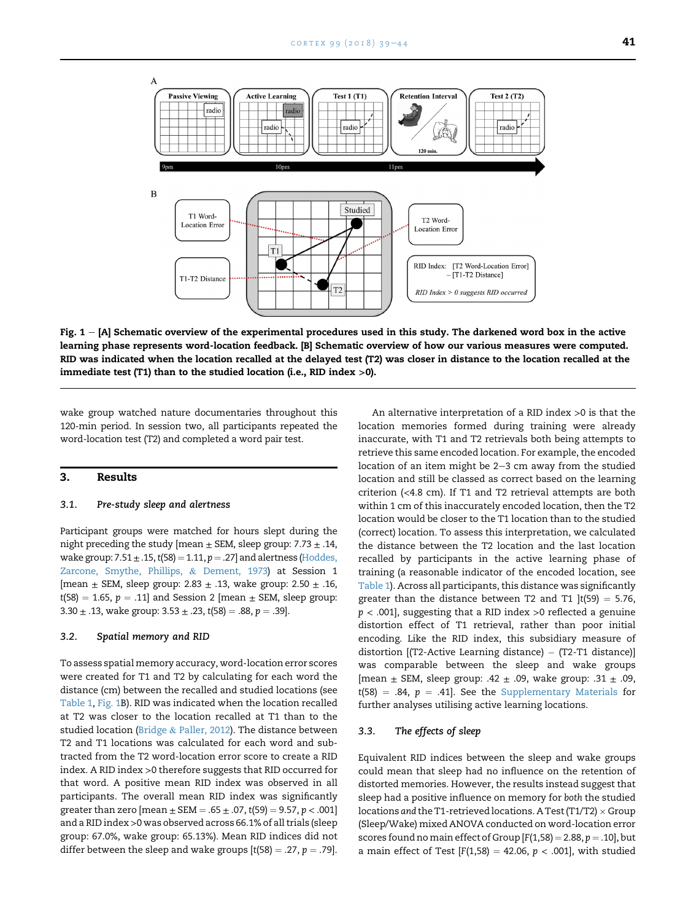<span id="page-2-0"></span>

Fig.  $1 - [A]$  Schematic overview of the experimental procedures used in this study. The darkened word box in the active learning phase represents word-location feedback. [B] Schematic overview of how our various measures were computed. RID was indicated when the location recalled at the delayed test (T2) was closer in distance to the location recalled at the immediate test (T1) than to the studied location (i.e., RID index >0).

wake group watched nature documentaries throughout this 120-min period. In session two, all participants repeated the word-location test (T2) and completed a word pair test.

# 3. Results

#### 3.1. Pre-study sleep and alertness

Participant groups were matched for hours slept during the night preceding the study [mean  $\pm$  SEM, sleep group: 7.73  $\pm$  .14, wake group:  $7.51 \pm .15$ , t(58) = 1.11,  $p = .27$ ] and alertness [\(Hoddes,](#page-5-0) [Zarcone, Smythe, Phillips,](#page-5-0) & [Dement, 1973\)](#page-5-0) at Session 1 [mean  $\pm$  SEM, sleep group: 2.83  $\pm$  .13, wake group: 2.50  $\pm$  .16,  $t(58) = 1.65$ ,  $p = .11$ ] and Session 2 [mean  $\pm$  SEM, sleep group:  $3.30 \pm .13$ , wake group:  $3.53 \pm .23$ , t(58) = .88, p = .39].

#### 3.2. Spatial memory and RID

To assess spatial memory accuracy, word-location error scores were created for T1 and T2 by calculating for each word the distance (cm) between the recalled and studied locations (see [Table 1,](#page-3-0) Fig. 1B). RID was indicated when the location recalled at T2 was closer to the location recalled at T1 than to the studied location [\(Bridge](#page-5-0)  $&$  [Paller, 2012](#page-5-0)). The distance between T2 and T1 locations was calculated for each word and subtracted from the T2 word-location error score to create a RID index. A RID index >0 therefore suggests that RID occurred for that word. A positive mean RID index was observed in all participants. The overall mean RID index was significantly greater than zero  $[mean \pm SEM = .65 \pm .07, t(59) = 9.57, p < .001]$ and a RID index>0 was observed across 66.1% of all trials (sleep group: 67.0%, wake group: 65.13%). Mean RID indices did not differ between the sleep and wake groups  $[t(58) = .27, p = .79]$ .

An alternative interpretation of a RID index >0 is that the location memories formed during training were already inaccurate, with T1 and T2 retrievals both being attempts to retrieve this same encoded location. For example, the encoded location of an item might be  $2-3$  cm away from the studied location and still be classed as correct based on the learning criterion (<4.8 cm). If T1 and T2 retrieval attempts are both within 1 cm of this inaccurately encoded location, then the T2 location would be closer to the T1 location than to the studied (correct) location. To assess this interpretation, we calculated the distance between the T2 location and the last location recalled by participants in the active learning phase of training (a reasonable indicator of the encoded location, see [Table 1](#page-3-0)). Across all participants, this distance was significantly greater than the distance between T2 and T1  $|t(59) = 5.76$ ,  $p < .001$ ], suggesting that a RID index >0 reflected a genuine distortion effect of T1 retrieval, rather than poor initial encoding. Like the RID index, this subsidiary measure of distortion  $[(T2-Active Learning distance) - (T2-T1 distance)]$ was comparable between the sleep and wake groups [mean  $\pm$  SEM, sleep group: .42  $\pm$  .09, wake group: .31  $\pm$  .09,  $t(58) = .84$ ,  $p = .41$ ]. See the Supplementary Materials for further analyses utilising active learning locations.

# 3.3. The effects of sleep

Equivalent RID indices between the sleep and wake groups could mean that sleep had no influence on the retention of distorted memories. However, the results instead suggest that sleep had a positive influence on memory for both the studied locations and the T1-retrieved locations. A Test (T1/T2)  $\times$  Group (Sleep/Wake) mixed ANOVA conducted on word-location error scores found no main effect of Group  $[F(1,58) = 2.88, p = .10]$ , but a main effect of Test  $[F(1,58) = 42.06, p < .001]$ , with studied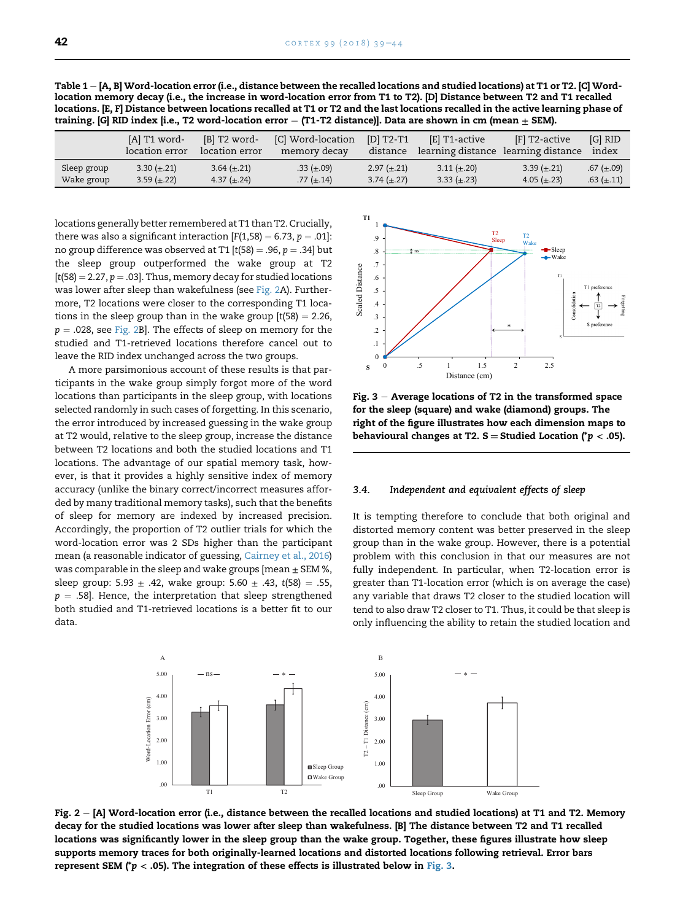<span id="page-3-0"></span>Table 1 - [A, B] Word-location error (i.e., distance between the recalled locations and studied locations) at T1 or T2. [C] Wordlocation memory decay (i.e., the increase in word-location error from T1 to T2). [D] Distance between T2 and T1 recalled locations. [E, F] Distance between locations recalled at T1 or T2 and the last locations recalled in the active learning phase of training. [G] RID index [i.e., T2 word-location error  $-$  (T1-T2 distance)]. Data are shown in cm (mean  $\pm$  SEM).

|             | [A] T1 word-<br>location error | [B] T2 word-<br>location error | [C] Word-location<br>memory decay | $[D]$ T2-T1<br>distance | [E] T1-active<br>learning distance learning distance | [F] T2-active    | [G] RID<br>index |
|-------------|--------------------------------|--------------------------------|-----------------------------------|-------------------------|------------------------------------------------------|------------------|------------------|
| Sleep group | 3.30 $(\pm .21)$               | 3.64 $(\pm .21)$               | .33 ( $\pm$ .09)                  | 2.97 $(\pm .21)$        | 3.11 $(\pm .20)$                                     | 3.39 $(\pm .21)$ | .67 $(\pm .09)$  |
| Wake group  | 3.59 $(\pm .22)$               | 4.37 $(\pm .24)$               | .77 $(\pm .14)$                   | 3.74 $(\pm .27)$        | 3.33 $(\pm .23)$                                     | 4.05 $(\pm .23)$ | .63 $(\pm .11)$  |

locations generally better remembered at T1 than T2. Crucially, there was also a significant interaction  $[F(1,58) = 6.73, p = .01]$ : no group difference was observed at T1  $[t(58) = .96, p = .34]$  but the sleep group outperformed the wake group at T2  $[t(58) = 2.27, p = .03]$ . Thus, memory decay for studied locations was lower after sleep than wakefulness (see Fig. 2A). Furthermore, T2 locations were closer to the corresponding T1 locations in the sleep group than in the wake group  $[t(58) = 2.26,$  $p = .028$ , see Fig. 2B]. The effects of sleep on memory for the studied and T1-retrieved locations therefore cancel out to leave the RID index unchanged across the two groups.

A more parsimonious account of these results is that participants in the wake group simply forgot more of the word locations than participants in the sleep group, with locations selected randomly in such cases of forgetting. In this scenario, the error introduced by increased guessing in the wake group at T2 would, relative to the sleep group, increase the distance between T2 locations and both the studied locations and T1 locations. The advantage of our spatial memory task, however, is that it provides a highly sensitive index of memory accuracy (unlike the binary correct/incorrect measures afforded by many traditional memory tasks), such that the benefits of sleep for memory are indexed by increased precision. Accordingly, the proportion of T2 outlier trials for which the word-location error was 2 SDs higher than the participant mean (a reasonable indicator of guessing, [Cairney et al., 2016\)](#page-5-0) was comparable in the sleep and wake groups [mean  $\pm$  SEM %, sleep group: 5.93  $\pm$  .42, wake group: 5.60  $\pm$  .43, t(58) = .55,  $p = .58$ . Hence, the interpretation that sleep strengthened both studied and T1-retrieved locations is a better fit to our data.



Fig.  $3$  – Average locations of T2 in the transformed space for the sleep (square) and wake (diamond) groups. The right of the figure illustrates how each dimension maps to behavioural changes at T2.  $S =$  Studied Location (\* $p < .05$ ).

# 3.4. Independent and equivalent effects of sleep

It is tempting therefore to conclude that both original and distorted memory content was better preserved in the sleep group than in the wake group. However, there is a potential problem with this conclusion in that our measures are not fully independent. In particular, when T2-location error is greater than T1-location error (which is on average the case) any variable that draws T2 closer to the studied location will tend to also draw T2 closer to T1. Thus, it could be that sleep is only influencing the ability to retain the studied location and



Fig.  $2 - [A]$  Word-location error (i.e., distance between the recalled locations and studied locations) at T1 and T2. Memory decay for the studied locations was lower after sleep than wakefulness. [B] The distance between T2 and T1 recalled locations was significantly lower in the sleep group than the wake group. Together, these figures illustrate how sleep supports memory traces for both originally-learned locations and distorted locations following retrieval. Error bars represent SEM ( $p < .05$ ). The integration of these effects is illustrated below in Fig. 3.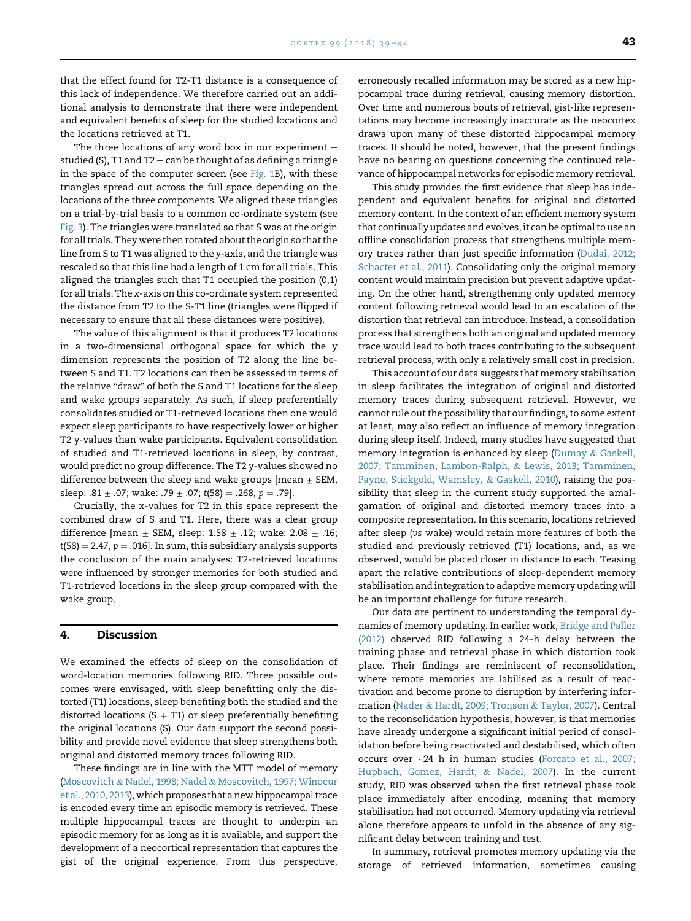that the effect found for T2-T1 distance is a consequence of this lack of independence. We therefore carried out an additional analysis to demonstrate that there were independent and equivalent benefits of sleep for the studied locations and the locations retrieved at T1.

The three locations of any word box in our experiment  $$ studied (S), T1 and T2  $-$  can be thought of as defining a triangle in the space of the computer screen (see [Fig. 1B](#page-2-0)), with these triangles spread out across the full space depending on the locations of the three components. We aligned these triangles on a trial-by-trial basis to a common co-ordinate system (see [Fig. 3](#page-3-0)). The triangles were translated so that S was at the origin for all trials. They were then rotated about the origin so that the line from S to T1 was aligned to the y-axis, and the triangle was rescaled so that this line had a length of 1 cm for all trials. This aligned the triangles such that T1 occupied the position (0,1) for all trials. The x-axis on this co-ordinate system represented the distance from T2 to the S-T1 line (triangles were flipped if necessary to ensure that all these distances were positive).

The value of this alignment is that it produces T2 locations in a two-dimensional orthogonal space for which the y dimension represents the position of T2 along the line between S and T1. T2 locations can then be assessed in terms of the relative "draw" of both the S and T1 locations for the sleep and wake groups separately. As such, if sleep preferentially consolidates studied or T1-retrieved locations then one would expect sleep participants to have respectively lower or higher T2 y-values than wake participants. Equivalent consolidation of studied and T1-retrieved locations in sleep, by contrast, would predict no group difference. The T2 y-values showed no difference between the sleep and wake groups [mean  $\pm$  SEM, sleep: .81  $\pm$  .07; wake: .79  $\pm$  .07; t(58) = .268, p = .79].

Crucially, the x-values for T2 in this space represent the combined draw of S and T1. Here, there was a clear group difference [mean  $\pm$  SEM, sleep: 1.58  $\pm$  .12; wake: 2.08  $\pm$  .16;  $t(58) = 2.47$ ,  $p = .016$ . In sum, this subsidiary analysis supports the conclusion of the main analyses: T2-retrieved locations were influenced by stronger memories for both studied and T1-retrieved locations in the sleep group compared with the wake group.

# 4. Discussion

We examined the effects of sleep on the consolidation of word-location memories following RID. Three possible outcomes were envisaged, with sleep benefitting only the distorted (T1) locations, sleep benefiting both the studied and the distorted locations  $(S + T1)$  or sleep preferentially benefiting the original locations (S). Our data support the second possibility and provide novel evidence that sleep strengthens both original and distorted memory traces following RID.

These findings are in line with the MTT model of memory [\(Moscovitch](#page-5-0) & [Nadel, 1998; Nadel](#page-5-0) & [Moscovitch, 1997; Winocur](#page-5-0) [et al., 2010, 2013\)](#page-5-0), which proposes that a new hippocampal trace is encoded every time an episodic memory is retrieved. These multiple hippocampal traces are thought to underpin an episodic memory for as long as it is available, and support the development of a neocortical representation that captures the gist of the original experience. From this perspective, erroneously recalled information may be stored as a new hippocampal trace during retrieval, causing memory distortion. Over time and numerous bouts of retrieval, gist-like representations may become increasingly inaccurate as the neocortex draws upon many of these distorted hippocampal memory traces. It should be noted, however, that the present findings have no bearing on questions concerning the continued relevance of hippocampal networks for episodic memory retrieval.

This study provides the first evidence that sleep has independent and equivalent benefits for original and distorted memory content. In the context of an efficient memory system that continually updates and evolves, it can be optimal to use an offline consolidation process that strengthens multiple memory traces rather than just specific information [\(Dudai, 2012;](#page-5-0) [Schacter et al., 2011\)](#page-5-0). Consolidating only the original memory content would maintain precision but prevent adaptive updating. On the other hand, strengthening only updated memory content following retrieval would lead to an escalation of the distortion that retrieval can introduce. Instead, a consolidation process that strengthens both an original and updated memory trace would lead to both traces contributing to the subsequent retrieval process, with only a relatively small cost in precision.

This account of our data suggests that memory stabilisation in sleep facilitates the integration of original and distorted memory traces during subsequent retrieval. However, we cannot rule out the possibility that our findings, to some extent at least, may also reflect an influence of memory integration during sleep itself. Indeed, many studies have suggested that memory integration is enhanced by sleep ([Dumay](#page-5-0) & [Gaskell,](#page-5-0) [2007; Tamminen, Lambon-Ralph,](#page-5-0) & [Lewis, 2013; Tamminen,](#page-5-0) [Payne, Stickgold, Wamsley,](#page-5-0) & [Gaskell, 2010\)](#page-5-0), raising the possibility that sleep in the current study supported the amalgamation of original and distorted memory traces into a composite representation. In this scenario, locations retrieved after sleep (vs wake) would retain more features of both the studied and previously retrieved (T1) locations, and, as we observed, would be placed closer in distance to each. Teasing apart the relative contributions of sleep-dependent memory stabilisation and integration to adaptive memory updating will be an important challenge for future research.

Our data are pertinent to understanding the temporal dynamics of memory updating. In earlier work, [Bridge and Paller](#page-5-0) [\(2012\)](#page-5-0) observed RID following a 24-h delay between the training phase and retrieval phase in which distortion took place. Their findings are reminiscent of reconsolidation, where remote memories are labilised as a result of reactivation and become prone to disruption by interfering information [\(Nader](#page-5-0) & [Hardt, 2009; Tronson](#page-5-0) & [Taylor, 2007\)](#page-5-0). Central to the reconsolidation hypothesis, however, is that memories have already undergone a significant initial period of consolidation before being reactivated and destabilised, which often occurs over ~24 h in human studies [\(Forcato et al., 2007;](#page-5-0) [Hupbach, Gomez, Hardt,](#page-5-0) & [Nadel, 2007\)](#page-5-0). In the current study, RID was observed when the first retrieval phase took place immediately after encoding, meaning that memory stabilisation had not occurred. Memory updating via retrieval alone therefore appears to unfold in the absence of any significant delay between training and test.

In summary, retrieval promotes memory updating via the storage of retrieved information, sometimes causing